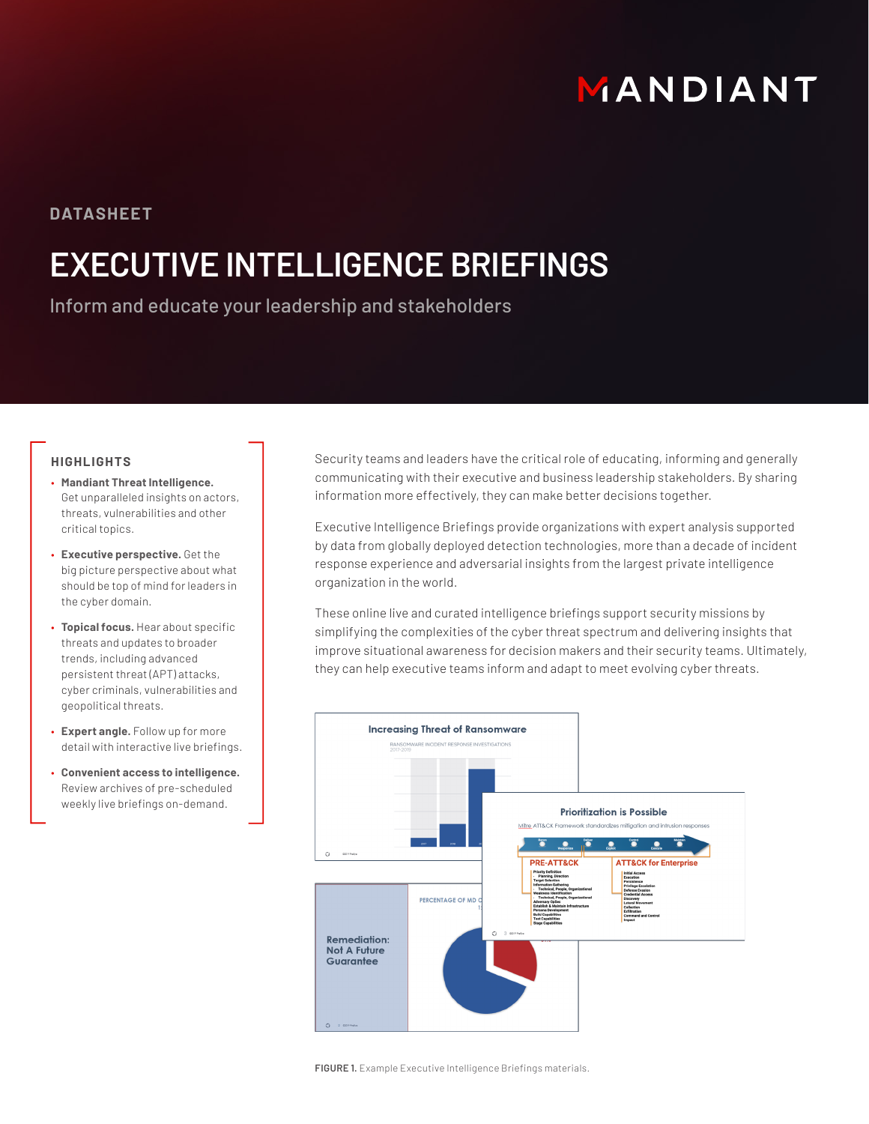# MANDIANT

### **DATASHEET**

## **EXECUTIVE INTELLIGENCE BRIEFINGS**

Inform and educate your leadership and stakeholders

#### **HIGHLIGHTS**

- **Mandiant Threat Intelligence.** Get unparalleled insights on actors, threats, vulnerabilities and other critical topics.
- **Executive perspective.** Get the big picture perspective about what should be top of mind for leaders in the cyber domain.
- **Topical focus.** Hear about specific threats and updates to broader trends, including advanced persistent threat (APT) attacks, cyber criminals, vulnerabilities and geopolitical threats.
- **Expert angle.** Follow up for more detail with interactive live briefings.
- **Convenient access to intelligence.**  Review archives of pre-scheduled weekly live briefings on-demand.

Security teams and leaders have the critical role of educating, informing and generally communicating with their executive and business leadership stakeholders. By sharing information more effectively, they can make better decisions together.

Executive Intelligence Briefings provide organizations with expert analysis supported by data from globally deployed detection technologies, more than a decade of incident response experience and adversarial insights from the largest private intelligence organization in the world.

These online live and curated intelligence briefings support security missions by simplifying the complexities of the cyber threat spectrum and delivering insights that improve situational awareness for decision makers and their security teams. Ultimately, they can help executive teams inform and adapt to meet evolving cyber threats.